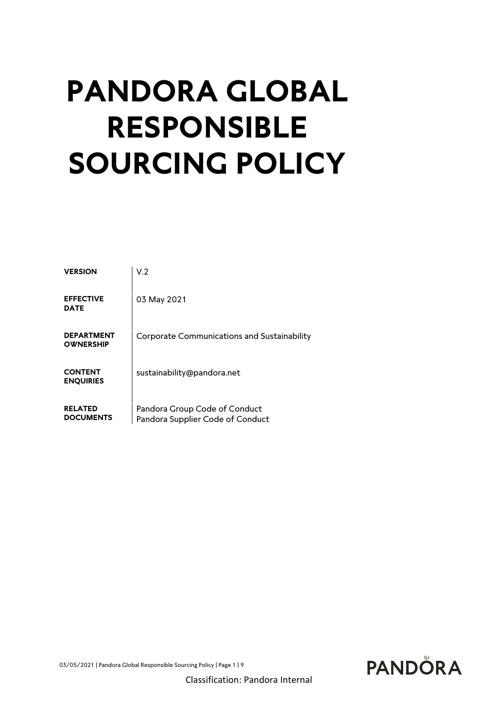# **PANDORA GLOBAL RESPONSIBLE SOURCING POLICY**

| <b>VERSION</b>                        | V.2                                                               |
|---------------------------------------|-------------------------------------------------------------------|
| <b>EFFECTIVE</b><br><b>DATE</b>       | 03 May 2021                                                       |
| <b>DEPARTMENT</b><br><b>OWNERSHIP</b> | Corporate Communications and Sustainability                       |
| <b>CONTENT</b><br><b>ENQUIRIES</b>    | sustainability@pandora.net                                        |
| <b>RELATED</b><br><b>DOCUMENTS</b>    | Pandora Group Code of Conduct<br>Pandora Supplier Code of Conduct |

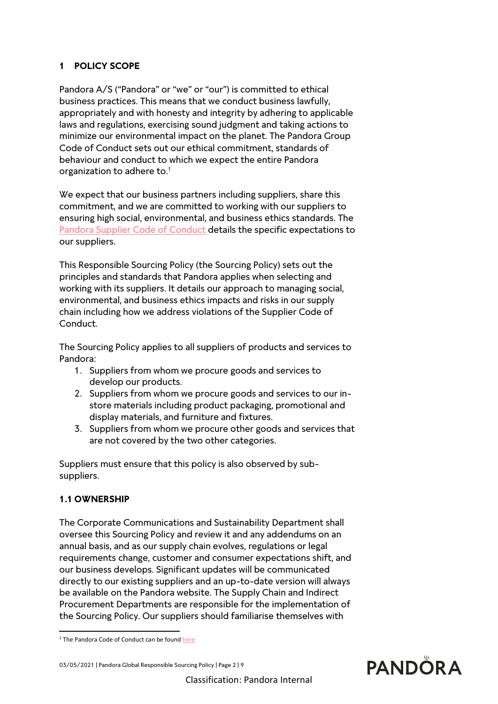# **1 POLICY SCOPE**

Pandora A/S ("Pandora" or "we" or "our") is committed to ethical business practices. This means that we conduct business lawfully, appropriately and with honesty and integrity by adhering to applicable laws and regulations, exercising sound judgment and taking actions to minimize our environmental impact on the planet. The Pandora Group Code of Conduct sets out our ethical commitment, standards of behaviour and conduct to which we expect the entire Pandora organization to adhere to.<sup>1</sup>

We expect that our business partners including suppliers, share this commitment, and we are committed to working with our suppliers to ensuring high social, environmental, and business ethics standards. The [Pandora Supplier Code of Conduct](https://pandoragroup.com/sustainability/resources/policies) details the specific expectations to our suppliers.

This Responsible Sourcing Policy (the Sourcing Policy) sets out the principles and standards that Pandora applies when selecting and working with its suppliers. It details our approach to managing social, environmental, and business ethics impacts and risks in our supply chain including how we address violations of the Supplier Code of Conduct.

The Sourcing Policy applies to all suppliers of products and services to Pandora:

- 1. Suppliers from whom we procure goods and services to develop our products.
- 2. Suppliers from whom we procure goods and services to our instore materials including product packaging, promotional and display materials, and furniture and fixtures.
- 3. Suppliers from whom we procure other goods and services that are not covered by the two other categories.

Suppliers must ensure that this policy is also observed by subsuppliers.

# **1.1 OWNERSHIP**

The Corporate Communications and Sustainability Department shall oversee this Sourcing Policy and review it and any addendums on an annual basis, and as our supply chain evolves, regulations or legal requirements change, customer and consumer expectations shift, and our business develops. Significant updates will be communicated directly to our existing suppliers and an up-to-date version will always be available on the Pandora website. The Supply Chain and Indirect Procurement Departments are responsible for the implementation of the Sourcing Policy. Our suppliers should familiarise themselves with

<sup>&</sup>lt;sup>1</sup> The Pandora Code of Conduct can be foun[d here](file:///C:/Users/peder/Downloads/Pandora%20Code%20of%20Conduct.pdf)



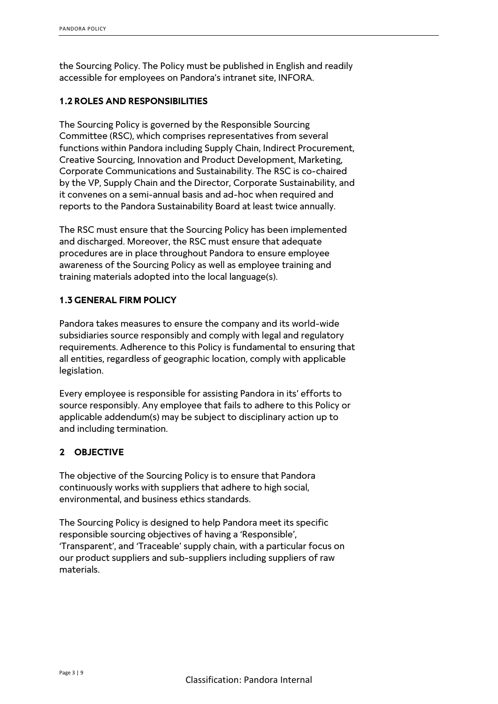the Sourcing Policy. The Policy must be published in English and readily accessible for employees on Pandora's intranet site, INFORA.

# **1.2 ROLES AND RESPONSIBILITIES**

The Sourcing Policy is governed by the Responsible Sourcing Committee (RSC), which comprises representatives from several functions within Pandora including Supply Chain, Indirect Procurement, Creative Sourcing, Innovation and Product Development, Marketing, Corporate Communications and Sustainability. The RSC is co-chaired by the VP, Supply Chain and the Director, Corporate Sustainability, and it convenes on a semi-annual basis and ad-hoc when required and reports to the Pandora Sustainability Board at least twice annually.

The RSC must ensure that the Sourcing Policy has been implemented and discharged. Moreover, the RSC must ensure that adequate procedures are in place throughout Pandora to ensure employee awareness of the Sourcing Policy as well as employee training and training materials adopted into the local language(s).

#### **1.3 GENERAL FIRM POLICY**

Pandora takes measures to ensure the company and its world-wide subsidiaries source responsibly and comply with legal and regulatory requirements. Adherence to this Policy is fundamental to ensuring that all entities, regardless of geographic location, comply with applicable legislation.

Every employee is responsible for assisting Pandora in its' efforts to source responsibly. Any employee that fails to adhere to this Policy or applicable addendum(s) may be subject to disciplinary action up to and including termination.

# **2 OBJECTIVE**

The objective of the Sourcing Policy is to ensure that Pandora continuously works with suppliers that adhere to high social, environmental, and business ethics standards.

The Sourcing Policy is designed to help Pandora meet its specific responsible sourcing objectives of having a 'Responsible', 'Transparent', and 'Traceable' supply chain, with a particular focus on our product suppliers and sub-suppliers including suppliers of raw materials.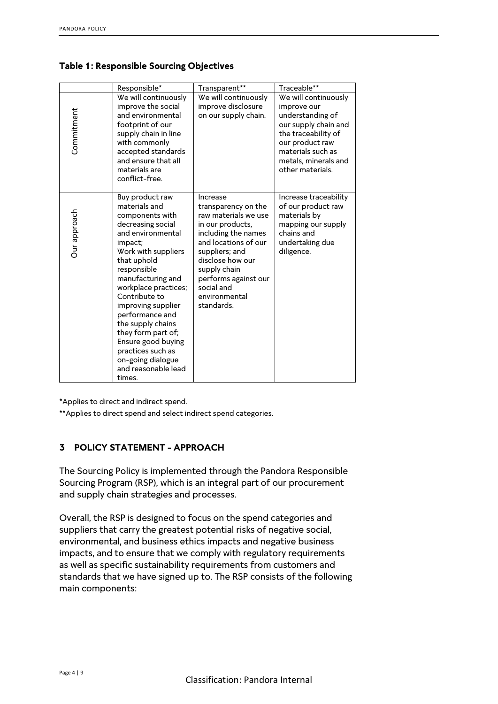|                                                                                                                                                                                                                                                                                                                                                                                                                                                          | Responsible*                                                                                                                                                                                                                                                                                                                                                                                                     | Transparent**                                                                                                                                                                                                                                         | Traceable**                                                                                                                                                                                |  |
|----------------------------------------------------------------------------------------------------------------------------------------------------------------------------------------------------------------------------------------------------------------------------------------------------------------------------------------------------------------------------------------------------------------------------------------------------------|------------------------------------------------------------------------------------------------------------------------------------------------------------------------------------------------------------------------------------------------------------------------------------------------------------------------------------------------------------------------------------------------------------------|-------------------------------------------------------------------------------------------------------------------------------------------------------------------------------------------------------------------------------------------------------|--------------------------------------------------------------------------------------------------------------------------------------------------------------------------------------------|--|
| Commitment                                                                                                                                                                                                                                                                                                                                                                                                                                               | We will continuously<br>improve the social<br>and environmental<br>footprint of our<br>supply chain in line<br>with commonly<br>accepted standards<br>and ensure that all<br>materials are<br>conflict-free.                                                                                                                                                                                                     | We will continuously<br>improve disclosure<br>on our supply chain.                                                                                                                                                                                    | We will continuously<br>improve our<br>understanding of<br>our supply chain and<br>the traceability of<br>our product raw<br>materials such as<br>metals, minerals and<br>other materials. |  |
| Our approach                                                                                                                                                                                                                                                                                                                                                                                                                                             | Buy product raw<br>materials and<br>components with<br>decreasing social<br>and environmental<br>impact;<br>Work with suppliers<br>that uphold<br>responsible<br>manufacturing and<br>workplace practices;<br>Contribute to<br>improving supplier<br>performance and<br>the supply chains<br>they form part of;<br>Ensure good buying<br>practices such as<br>on-going dialogue<br>and reasonable lead<br>times. | Increase<br>transparency on the<br>raw materials we use<br>in our products,<br>including the names<br>and locations of our<br>suppliers; and<br>disclose how our<br>supply chain<br>performs against our<br>social and<br>environmental<br>standards. | Increase traceability<br>of our product raw<br>materials by<br>mapping our supply<br>chains and<br>undertaking due<br>diligence.                                                           |  |
| *Applies to direct and indirect spend.<br>**Applies to direct spend and select indirect spend categories.<br><b>POLICY STATEMENT - APPROACH</b><br>3<br>The Sourcing Policy is implemented through the Pandora Responsible                                                                                                                                                                                                                               |                                                                                                                                                                                                                                                                                                                                                                                                                  |                                                                                                                                                                                                                                                       |                                                                                                                                                                                            |  |
| Sourcing Program (RSP), which is an integral part of our procurement<br>and supply chain strategies and processes.                                                                                                                                                                                                                                                                                                                                       |                                                                                                                                                                                                                                                                                                                                                                                                                  |                                                                                                                                                                                                                                                       |                                                                                                                                                                                            |  |
| Overall, the RSP is designed to focus on the spend categories and<br>suppliers that carry the greatest potential risks of negative social,<br>environmental, and business ethics impacts and negative business<br>impacts, and to ensure that we comply with regulatory requirements<br>as well as specific sustainability requirements from customers and<br>standards that we have signed up to. The RSP consists of the following<br>main components: |                                                                                                                                                                                                                                                                                                                                                                                                                  |                                                                                                                                                                                                                                                       |                                                                                                                                                                                            |  |

**Table 1: Responsible Sourcing Objectives**

# **3 POLICY STATEMENT - APPROACH**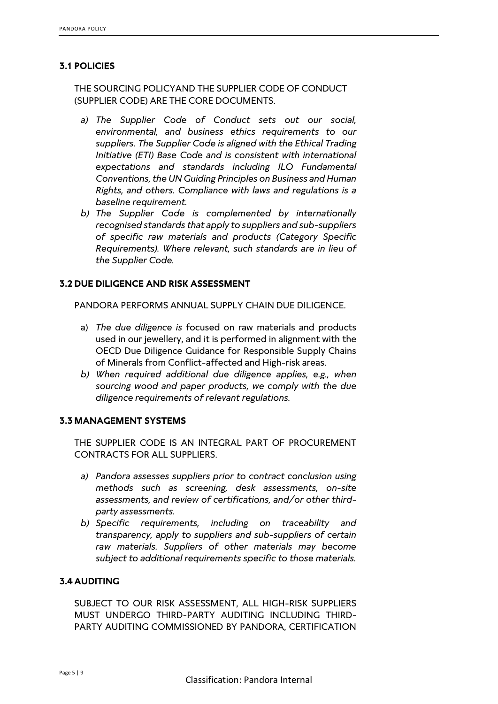### **3.1 POLICIES**

THE SOURCING POLICYAND THE SUPPLIER CODE OF CONDUCT (SUPPLIER CODE) ARE THE CORE DOCUMENTS.

- *a) The Supplier Code of Conduct sets out our social, environmental, and business ethics requirements to our suppliers. The Supplier Code is aligned with the Ethical Trading Initiative (ETI) Base Code and is consistent with international expectations and standards including ILO Fundamental Conventions, the UN Guiding Principles on Business and Human Rights, and others. Compliance with laws and regulations is a baseline requirement.*
- *b) The Supplier Code is complemented by internationally recognised standards that apply to suppliers and sub-suppliers of specific raw materials and products (Category Specific Requirements). Where relevant, such standards are in lieu of the Supplier Code.*

#### **3.2 DUE DILIGENCE AND RISK ASSESSMENT**

PANDORA PERFORMS ANNUAL SUPPLY CHAIN DUE DILIGENCE.

- a) *The due diligence is* focused on raw materials and products used in our jewellery, and it is performed in alignment with the OECD Due Diligence Guidance for Responsible Supply Chains of Minerals from Conflict-affected and High-risk areas.
- *b) When required additional due diligence applies, e.g., when sourcing wood and paper products, we comply with the due diligence requirements of relevant regulations.*

#### **3.3 MANAGEMENT SYSTEMS**

THE SUPPLIER CODE IS AN INTEGRAL PART OF PROCUREMENT CONTRACTS FOR ALL SUPPLIERS.

- *a) Pandora assesses suppliers prior to contract conclusion using methods such as screening, desk assessments, on-site assessments, and review of certifications, and/or other thirdparty assessments.*
- *b) Specific requirements, including on traceability and transparency, apply to suppliers and sub-suppliers of certain raw materials. Suppliers of other materials may become subject to additional requirements specific to those materials.*

#### **3.4 AUDITING**

SUBJECT TO OUR RISK ASSESSMENT, ALL HIGH-RISK SUPPLIERS MUST UNDERGO THIRD-PARTY AUDITING INCLUDING THIRD-PARTY AUDITING COMMISSIONED BY PANDORA, CERTIFICATION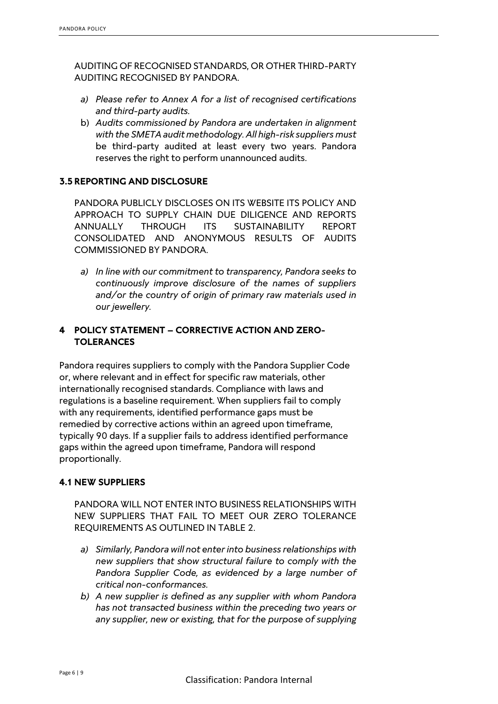AUDITING OF RECOGNISED STANDARDS, OR OTHER THIRD-PARTY AUDITING RECOGNISED BY PANDORA.

- *a) Please refer to Annex A for a list of recognised certifications and third-party audits.*
- b) *Audits commissioned by Pandora are undertaken in alignment with the SMETA audit methodology. All high-risk suppliers must* be third-party audited at least every two years. Pandora reserves the right to perform unannounced audits.

#### **3.5 REPORTING AND DISCLOSURE**

PANDORA PUBLICLY DISCLOSES ON ITS WEBSITE ITS POLICY AND APPROACH TO SUPPLY CHAIN DUE DILIGENCE AND REPORTS ANNUALLY THROUGH ITS SUSTAINABILITY REPORT CONSOLIDATED AND ANONYMOUS RESULTS OF AUDITS COMMISSIONED BY PANDORA.

*a) In line with our commitment to transparency, Pandora seeks to continuously improve disclosure of the names of suppliers and/or the country of origin of primary raw materials used in our jewellery.*

# **4 POLICY STATEMENT – CORRECTIVE ACTION AND ZERO-TOLERANCES**

Pandora requires suppliers to comply with the Pandora Supplier Code or, where relevant and in effect for specific raw materials, other internationally recognised standards. Compliance with laws and regulations is a baseline requirement. When suppliers fail to comply with any requirements, identified performance gaps must be remedied by corrective actions within an agreed upon timeframe, typically 90 days. If a supplier fails to address identified performance gaps within the agreed upon timeframe, Pandora will respond proportionally.

#### **4.1 NEW SUPPLIERS**

PANDORA WILL NOT ENTER INTO BUSINESS RELATIONSHIPS WITH NEW SUPPLIERS THAT FAIL TO MEET OUR ZERO TOLERANCE REQUIREMENTS AS OUTLINED IN TABLE 2.

- *a) Similarly, Pandora will not enter into business relationships with new suppliers that show structural failure to comply with the Pandora Supplier Code, as evidenced by a large number of critical non-conformances.*
- *b) A new supplier is defined as any supplier with whom Pandora has not transacted business within the preceding two years or any supplier, new or existing, that for the purpose of supplying*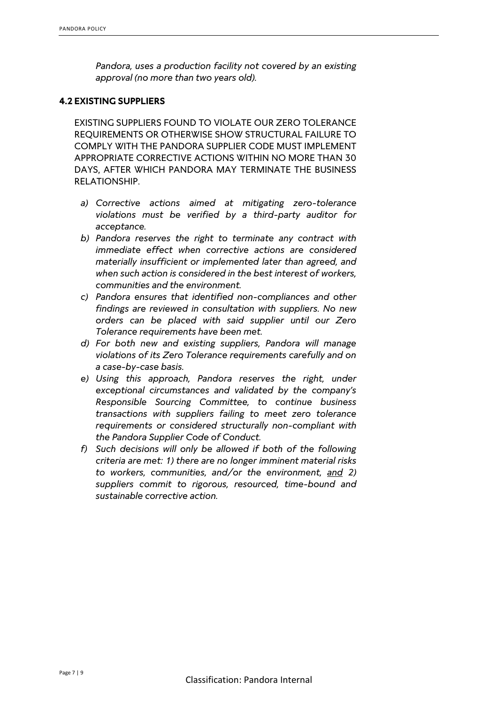*Pandora, uses a production facility not covered by an existing approval (no more than two years old).*

#### **4.2 EXISTING SUPPLIERS**

EXISTING SUPPLIERS FOUND TO VIOLATE OUR ZERO TOLERANCE REQUIREMENTS OR OTHERWISE SHOW STRUCTURAL FAILURE TO COMPLY WITH THE PANDORA SUPPLIER CODE MUST IMPLEMENT APPROPRIATE CORRECTIVE ACTIONS WITHIN NO MORE THAN 30 DAYS, AFTER WHICH PANDORA MAY TERMINATE THE BUSINESS RELATIONSHIP.

- *a) Corrective actions aimed at mitigating zero-tolerance violations must be verified by a third-party auditor for acceptance.*
- *b) Pandora reserves the right to terminate any contract with immediate effect when corrective actions are considered materially insufficient or implemented later than agreed, and when such action is considered in the best interest of workers, communities and the environment.*
- *c) Pandora ensures that identified non-compliances and other findings are reviewed in consultation with suppliers. No new orders can be placed with said supplier until our Zero Tolerance requirements have been met.*
- *d) For both new and existing suppliers, Pandora will manage violations of its Zero Tolerance requirements carefully and on a case-by-case basis.*
- *e) Using this approach, Pandora reserves the right, under exceptional circumstances and validated by the company's Responsible Sourcing Committee, to continue business transactions with suppliers failing to meet zero tolerance requirements or considered structurally non-compliant with the Pandora Supplier Code of Conduct.*
- *f) Such decisions will only be allowed if both of the following criteria are met: 1) there are no longer imminent material risks to workers, communities, and/or the environment, and 2) suppliers commit to rigorous, resourced, time-bound and sustainable corrective action.*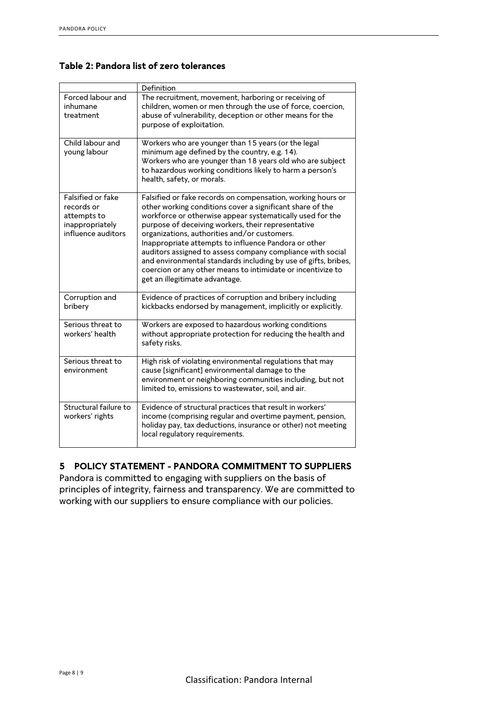# **Table 2: Pandora list of zero tolerances**

|                                                                                         | Definition                                                                                                                                                                                                                                                                                                                                                                                                                                                                                                                                                                           |
|-----------------------------------------------------------------------------------------|--------------------------------------------------------------------------------------------------------------------------------------------------------------------------------------------------------------------------------------------------------------------------------------------------------------------------------------------------------------------------------------------------------------------------------------------------------------------------------------------------------------------------------------------------------------------------------------|
| Forced labour and<br>inhumane<br>treatment                                              | The recruitment, movement, harboring or receiving of<br>children, women or men through the use of force, coercion,<br>abuse of vulnerability, deception or other means for the<br>purpose of exploitation.                                                                                                                                                                                                                                                                                                                                                                           |
| Child labour and<br>young labour                                                        | Workers who are younger than 15 years (or the legal<br>minimum age defined by the country, e.g. 14).<br>Workers who are younger than 18 years old who are subject<br>to hazardous working conditions likely to harm a person's<br>health, safety, or morals.                                                                                                                                                                                                                                                                                                                         |
| Falsified or fake<br>records or<br>attempts to<br>inappropriately<br>influence auditors | Falsified or fake records on compensation, working hours or<br>other working conditions cover a significant share of the<br>workforce or otherwise appear systematically used for the<br>purpose of deceiving workers, their representative<br>organizations, authorities and/or customers.<br>Inappropriate attempts to influence Pandora or other<br>auditors assigned to assess company compliance with social<br>and environmental standards including by use of gifts, bribes,<br>coercion or any other means to intimidate or incentivize to<br>get an illegitimate advantage. |
| Corruption and<br>bribery                                                               | Evidence of practices of corruption and bribery including<br>kickbacks endorsed by management, implicitly or explicitly.                                                                                                                                                                                                                                                                                                                                                                                                                                                             |
| Serious threat to<br>workers' health                                                    | Workers are exposed to hazardous working conditions<br>without appropriate protection for reducing the health and<br>safety risks.                                                                                                                                                                                                                                                                                                                                                                                                                                                   |
| Serious threat to<br>environment                                                        | High risk of violating environmental regulations that may<br>cause [significant] environmental damage to the<br>environment or neighboring communities including, but not<br>limited to, emissions to wastewater, soil, and air.                                                                                                                                                                                                                                                                                                                                                     |
| Structural failure to<br>workers' rights                                                | Evidence of structural practices that result in workers'<br>income (comprising regular and overtime payment, pension,<br>holiday pay, tax deductions, insurance or other) not meeting<br>local regulatory requirements.                                                                                                                                                                                                                                                                                                                                                              |

# **5 POLICY STATEMENT - PANDORA COMMITMENT TO SUPPLIERS**

Pandora is committed to engaging with suppliers on the basis of principles of integrity, fairness and transparency. We are committed to working with our suppliers to ensure compliance with our policies.